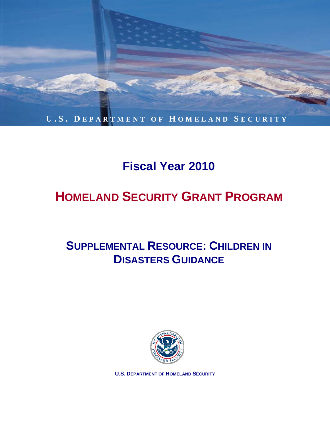

# **Fiscal Year 2010**

# **ty Grant Program HOMELAND SECURITY GRANT PROGRAM**

## *Guidelines and Application Kit*  **(October 27, 2006) SUPPLEMENTAL RESOURCE: CHILDREN IN DISASTERS GUIDANCE**



**U.S. DEPARTMENT OF HOMELAND SECURITY**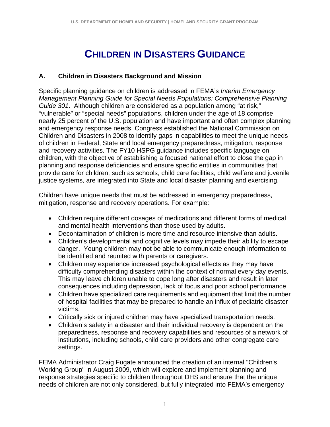# **CHILDREN IN DISASTERS GUIDANCE**

#### **A. Children in Disasters Background and Mission**

Specific planning guidance on children is addressed in FEMA's *Interim Emergency Management Planning Guide for Special Needs Populations: Comprehensive Planning Guide 301*. Although children are considered as a population among "at risk," "vulnerable" or "special needs" populations, children under the age of 18 comprise nearly 25 percent of the U.S. population and have important and often complex planning and emergency response needs. Congress established the National Commission on Children and Disasters in 2008 to identify gaps in capabilities to meet the unique needs of children in Federal, State and local emergency preparedness, mitigation, response and recovery activities. The FY10 HSPG guidance includes specific language on children, with the objective of establishing a focused national effort to close the gap in planning and response deficiencies and ensure specific entities in communities that provide care for children, such as schools, child care facilities, child welfare and juvenile justice systems, are integrated into State and local disaster planning and exercising.

Children have unique needs that must be addressed in emergency preparedness, mitigation, response and recovery operations. For example:

- Children require different dosages of medications and different forms of medical and mental health interventions than those used by adults.
- Decontamination of children is more time and resource intensive than adults.
- Children's developmental and cognitive levels may impede their ability to escape danger. Young children may not be able to communicate enough information to be identified and reunited with parents or caregivers.
- Children may experience increased psychological effects as they may have difficulty comprehending disasters within the context of normal every day events. This may leave children unable to cope long after disasters and result in later consequences including depression, lack of focus and poor school performance
- Children have specialized care requirements and equipment that limit the number of hospital facilities that may be prepared to handle an influx of pediatric disaster victims.
- Critically sick or injured children may have specialized transportation needs.
- Children's safety in a disaster and their individual recovery is dependent on the preparedness, response and recovery capabilities and resources of a network of institutions, including schools, child care providers and other congregate care settings.

FEMA Administrator Craig Fugate announced the creation of an internal "Children's Working Group" in August 2009, which will explore and implement planning and response strategies specific to children throughout DHS and ensure that the unique needs of children are not only considered, but fully integrated into FEMA's emergency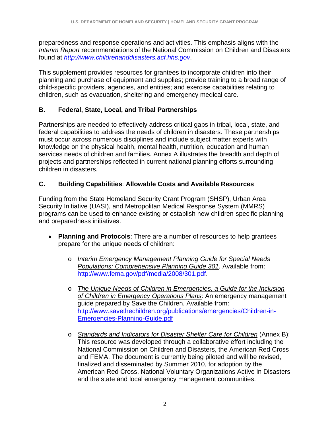preparedness and response operations and activities. This emphasis aligns with the *Interim Report* recommendations of the National Commission on Children and Disasters found at *http://www.childrenanddisasters.acf.hhs.gov*.

This supplement provides resources for grantees to incorporate children into their planning and purchase of equipment and supplies; provide training to a broad range of child-specific providers, agencies, and entities; and exercise capabilities relating to children, such as evacuation, sheltering and emergency medical care.

#### **B. Federal, State, Local, and Tribal Partnerships**

Partnerships are needed to effectively address critical gaps in tribal, local, state, and federal capabilities to address the needs of children in disasters. These partnerships must occur across numerous disciplines and include subject matter experts with knowledge on the physical health, mental health, nutrition, education and human services needs of children and families. Annex A illustrates the breadth and depth of projects and partnerships reflected in current national planning efforts surrounding children in disasters.

#### **C. Building Capabilities**: **Allowable Costs and Available Resources**

Funding from the State Homeland Security Grant Program (SHSP), Urban Area Security Initiative (UASI), and Metropolitan Medical Response System (MMRS) programs can be used to enhance existing or establish new children-specific planning and preparedness initiatives.

- **Planning and Protocols**: There are a number of resources to help grantees prepare for the unique needs of children:
	- o *Interim Emergency Management Planning Guide for Special Needs Populations: Comprehensive Planning Guide 301*. Available from: <http://www.fema.gov/pdf/media/2008/301.pdf>.
	- o *The Unique Needs of Children in Emergencies, a Guide for the Inclusion of Children in Emergency Operations Plans*: An emergency management guide prepared by Save the Children. Available from: [http://www.savethechildren.org/publications/emergencies/Children-in-](http://www.savethechildren.org/publications/emergencies/Children-in-Emergencies-Planning-Guide.pdf)[Emergencies-Planning-Guide.pdf](http://www.savethechildren.org/publications/emergencies/Children-in-Emergencies-Planning-Guide.pdf)
	- o *Standards and Indicators for Disaster Shelter Care for Children* (Annex B): This resource was developed through a collaborative effort including the National Commission on Children and Disasters, the American Red Cross and FEMA. The document is currently being piloted and will be revised, finalized and disseminated by Summer 2010, for adoption by the American Red Cross, National Voluntary Organizations Active in Disasters and the state and local emergency management communities.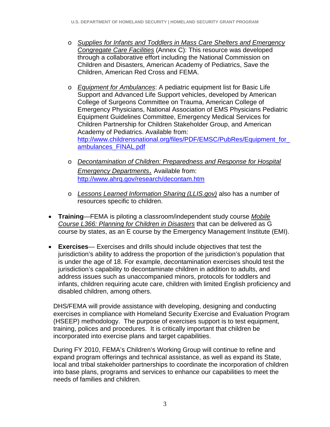- o *Supplies for Infants and Toddlers in Mass Care Shelters and Emergency Congregate Care Facilities* (Annex C): This resource was developed through a collaborative effort including the National Commission on Children and Disasters, American Academy of Pediatrics, Save the Children, American Red Cross and FEMA.
- o *Equipment for Ambulances*: A pediatric equipment list for Basic Life Support and Advanced Life Support vehicles, developed by American College of Surgeons Committee on Trauma, American College of Emergency Physicians, National Association of EMS Physicians Pediatric Equipment Guidelines Committee, Emergency Medical Services for Children Partnership for Children Stakeholder Group, and American Academy of Pediatrics. Available from: http://www.childrensnational.org/files/PDF/EMSC/PubRes/Equipment\_for [ambulances\\_FINAL.pdf](http://www.childrensnational.org/files/PDF/EMSC/PubRes/Equipment_for_ambulances_FINAL.pdf)
- o *Decontamination of Children: Preparedness and Response for Hospital Emergency Departments*. Available from: <http://www.ahrq.gov/research/decontam.htm>
- o *Lessons Learned Information Sharing (LLIS.gov)* also has a number of resources specific to children.
- **Training**—FEMA is piloting a classroom/independent study course *Mobile Course L366: Planning for Children in Disasters* that can be delivered as G course by states, as an E course by the Emergency Management Institute (EMI).
- **Exercises** Exercises and drills should include objectives that test the jurisdiction's ability to address the proportion of the jurisdiction's population that is under the age of 18. For example, decontamination exercises should test the jurisdiction's capability to decontaminate children in addition to adults, and address issues such as unaccompanied minors, protocols for toddlers and infants, children requiring acute care, children with limited English proficiency and disabled children, among others.

DHS/FEMA will provide assistance with developing, designing and conducting exercises in compliance with Homeland Security Exercise and Evaluation Program (HSEEP) methodology. The purpose of exercises support is to test equipment, training, polices and procedures. It is critically important that children be incorporated into exercise plans and target capabilities.

During FY 2010, FEMA's Children's Working Group will continue to refine and expand program offerings and technical assistance, as well as expand its State, local and tribal stakeholder partnerships to coordinate the incorporation of children into base plans, programs and services to enhance our capabilities to meet the needs of families and children.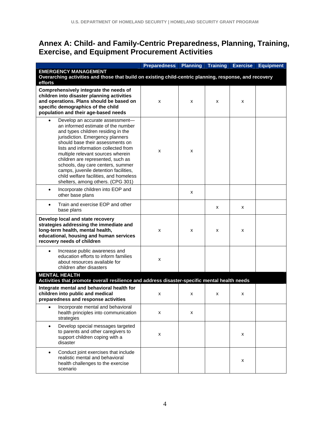## **Annex A: Child- and Family-Centric Preparedness, Planning, Training, Exercise, and Equipment Procurement Activities**

|                                                                                                                                                                                                                                                                                                                                                                                                                                                                    | <b>Preparedness</b> | <b>Planning</b> | Training | <b>Exercise</b> | <b>Equipment</b> |
|--------------------------------------------------------------------------------------------------------------------------------------------------------------------------------------------------------------------------------------------------------------------------------------------------------------------------------------------------------------------------------------------------------------------------------------------------------------------|---------------------|-----------------|----------|-----------------|------------------|
| <b>EMERGENCY MANAGEMENT</b>                                                                                                                                                                                                                                                                                                                                                                                                                                        |                     |                 |          |                 |                  |
| Overarching activities and those that build on existing child-centric planning, response, and recovery<br>efforts                                                                                                                                                                                                                                                                                                                                                  |                     |                 |          |                 |                  |
| Comprehensively integrate the needs of<br>children into disaster planning activities<br>and operations. Plans should be based on<br>specific demographics of the child<br>population and their age-based needs                                                                                                                                                                                                                                                     | X                   | X               | x        | x               |                  |
| Develop an accurate assessment-<br>an informed estimate of the number<br>and types children residing in the<br>jurisdiction. Emergency planners<br>should base their assessments on<br>lists and information collected from<br>multiple relevant sources wherein<br>children are represented, such as<br>schools, day care centers, summer<br>camps, juvenile detention facilities,<br>child welfare facilities, and homeless<br>shelters, among others. (CPG 301) | X                   | x               |          |                 |                  |
| Incorporate children into EOP and<br>$\bullet$<br>other base plans                                                                                                                                                                                                                                                                                                                                                                                                 |                     | X               |          |                 |                  |
| Train and exercise EOP and other<br>$\bullet$<br>base plans                                                                                                                                                                                                                                                                                                                                                                                                        |                     |                 | x        | x               |                  |
| Develop local and state recovery<br>strategies addressing the immediate and<br>long-term health, mental health,<br>educational, housing and human services<br>recovery needs of children                                                                                                                                                                                                                                                                           | X                   | X               | x        | x               |                  |
| Increase public awareness and<br>$\bullet$<br>education efforts to inform families<br>about resources available for<br>children after disasters                                                                                                                                                                                                                                                                                                                    | X                   |                 |          |                 |                  |
| <b>MENTAL HEALTH</b><br>Activities that promote overall resilience and address disaster-specific mental health needs                                                                                                                                                                                                                                                                                                                                               |                     |                 |          |                 |                  |
| Integrate mental and behavioral health for<br>children into public and medical<br>preparedness and response activities                                                                                                                                                                                                                                                                                                                                             | x                   | х               | x        | x               |                  |
| Incorporate mental and behavioral<br>health principles into communication<br>strategies                                                                                                                                                                                                                                                                                                                                                                            | x                   | x               |          |                 |                  |
| Develop special messages targeted<br>$\bullet$<br>to parents and other caregivers to<br>support children coping with a<br>disaster                                                                                                                                                                                                                                                                                                                                 | x                   |                 |          | X               |                  |
| Conduct joint exercises that include<br>$\bullet$<br>realistic mental and behavioral<br>health challenges to the exercise<br>scenario                                                                                                                                                                                                                                                                                                                              |                     |                 |          | x               |                  |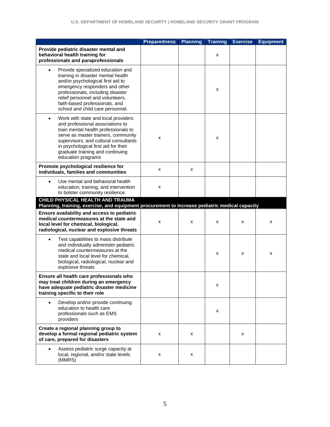|                                                                                                                                                                                                                                                                                                                | <b>Preparedness</b> | <b>Planning</b> | <b>Training</b> | <b>Exercise</b> | <b>Equipment</b> |
|----------------------------------------------------------------------------------------------------------------------------------------------------------------------------------------------------------------------------------------------------------------------------------------------------------------|---------------------|-----------------|-----------------|-----------------|------------------|
| Provide pediatric disaster mental and<br>behavioral health training for<br>professionals and paraprofessionals                                                                                                                                                                                                 |                     |                 | x               |                 |                  |
| Provide specialized education and<br>$\bullet$<br>training in disaster mental health<br>and/or psychological first aid to<br>emergency responders and other<br>professionals, including disaster<br>relief personnel and volunteers,<br>faith-based professionals, and<br>school and child care personnel.     |                     |                 | X               |                 |                  |
| Work with state and local providers<br>$\bullet$<br>and professional associations to<br>train mental health professionals to<br>serve as master trainers, community<br>supervisors, and cultural consultants<br>in psychological first aid for their<br>graduate training and continuing<br>education programs | x                   |                 | x               |                 |                  |
| Promote psychological resilience for<br>individuals, families and communities                                                                                                                                                                                                                                  | x                   | x               |                 |                 |                  |
| Use mental and behavioral health<br>$\bullet$<br>education, training, and intervention<br>to bolster community resilience.                                                                                                                                                                                     | x                   |                 |                 |                 |                  |
| CHILD PHYSICAL HEALTH AND TRAUMA                                                                                                                                                                                                                                                                               |                     |                 |                 |                 |                  |
| Planning, training, exercise, and equipment procurement to increase pediatric medical capacity<br>Ensure availability and access to pediatric<br>medical countermeasures at the state and<br>local level for chemical, biological,<br>radiological, nuclear and explosive threats                              | x                   | x               | x               | x               | х                |
| Test capabilities to mass distribute<br>$\bullet$<br>and individually administer pediatric<br>medical countermeasures at the<br>state and local level for chemical,<br>biological, radiological, nuclear and<br>explosive threats                                                                              |                     |                 | x               | x               | х                |
| Ensure all health care professionals who<br>may treat children during an emergency<br>have adequate pediatric disaster medicine<br>training specific to their role                                                                                                                                             |                     |                 | х               |                 |                  |
| Develop and/or provide continuing<br>education to health care<br>professionals such as EMS<br>providers                                                                                                                                                                                                        |                     |                 | x               |                 |                  |
| Create a regional planning group to<br>develop a formal regional pediatric system<br>of care, prepared for disasters                                                                                                                                                                                           | x                   | x               |                 | x               |                  |
| Assess pediatric surge capacity at<br>local, regional, and/or state levels<br>(MMRS)                                                                                                                                                                                                                           | x                   | x               |                 |                 |                  |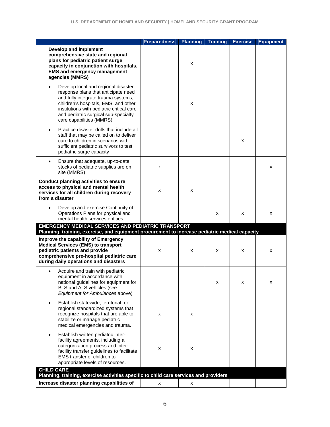|                                                                                                                                                                                                                                                                                         | <b>Preparedness</b> | <b>Planning</b> | <b>Training</b> | <b>Exercise</b> | <b>Equipment</b> |
|-----------------------------------------------------------------------------------------------------------------------------------------------------------------------------------------------------------------------------------------------------------------------------------------|---------------------|-----------------|-----------------|-----------------|------------------|
| Develop and implement<br>comprehensive state and regional<br>plans for pediatric patient surge<br>capacity in conjunction with hospitals,<br><b>EMS and emergency management</b><br>agencies (MMRS)                                                                                     |                     | x               |                 |                 |                  |
| Develop local and regional disaster<br>$\bullet$<br>response plans that anticipate need<br>and fully integrate trauma systems,<br>children's hospitals, EMS, and other<br>institutions with pediatric critical care<br>and pediatric surgical sub-specialty<br>care capabilities (MMRS) |                     | x               |                 |                 |                  |
| Practice disaster drills that include all<br>$\bullet$<br>staff that may be called on to deliver<br>care to children in scenarios with<br>sufficient pediatric survivors to test<br>pediatric surge capacity                                                                            |                     |                 |                 | X               |                  |
| Ensure that adequate, up-to-date<br>$\bullet$<br>stocks of pediatric supplies are on<br>site (MMRS)                                                                                                                                                                                     | x                   |                 |                 |                 | x                |
| <b>Conduct planning activities to ensure</b><br>access to physical and mental health<br>services for all children during recovery<br>from a disaster                                                                                                                                    | x                   | x               |                 |                 |                  |
| Develop and exercise Continuity of<br>$\bullet$<br>Operations Plans for physical and<br>mental health services entities                                                                                                                                                                 |                     |                 | x               | х               | x                |
| EMERGENCY MEDICAL SERVICES AND PEDIATRIC TRANSPORT<br>Planning, training, exercise, and equipment procurement to increase pediatric medical capacity                                                                                                                                    |                     |                 |                 |                 |                  |
| Improve the capability of Emergency<br><b>Medical Services (EMS) to transport</b><br>pediatric patients and provide<br>comprehensive pre-hospital pediatric care<br>during daily operations and disasters                                                                               | x                   | x               | x               | х               | x                |
| Acquire and train with pediatric<br>equipment in accordance with<br>national guidelines for equipment for<br>BLS and ALS vehicles (see<br>Equipment for Ambulances above)                                                                                                               |                     |                 | x               | X               | x                |
| Establish statewide, territorial, or<br>$\bullet$<br>regional standardized systems that<br>recognize hospitals that are able to<br>stabilize or manage pediatric<br>medical emergencies and trauma.                                                                                     | x                   | x               |                 |                 |                  |
| Establish written pediatric inter-<br>$\bullet$<br>facility agreements, including a<br>categorization process and inter-<br>facility transfer guidelines to facilitate<br>EMS transfer of children to<br>appropriate levels of resources.                                               | x                   | x               |                 |                 |                  |
| Planning, training, exercise activities specific to child care services and providers                                                                                                                                                                                                   |                     |                 |                 |                 |                  |
| <b>CHILD CARE</b><br>Increase disaster planning capabilities of                                                                                                                                                                                                                         | x                   | x               |                 |                 |                  |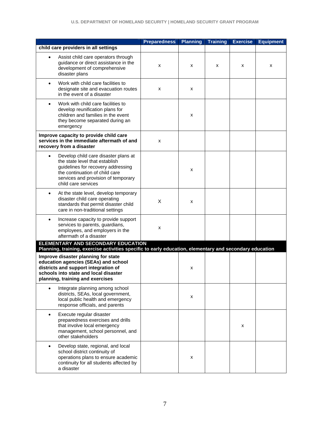|                                                                                                                                                                                                                           | <b>Preparedness</b> | <b>Planning</b> | <b>Training</b> | <b>Exercise</b> | <b>Equipment</b> |
|---------------------------------------------------------------------------------------------------------------------------------------------------------------------------------------------------------------------------|---------------------|-----------------|-----------------|-----------------|------------------|
| child care providers in all settings                                                                                                                                                                                      |                     |                 |                 |                 |                  |
| Assist child care operators through<br>$\bullet$<br>guidance or direct assistance in the<br>development of comprehensive<br>disaster plans                                                                                | x                   | x               | x               | x               | x                |
| Work with child care facilities to<br>$\bullet$<br>designate site and evacuation routes<br>in the event of a disaster                                                                                                     | x                   | x               |                 |                 |                  |
| Work with child care facilities to<br>$\bullet$<br>develop reunification plans for<br>children and families in the event<br>they become separated during an<br>emergency                                                  |                     | x               |                 |                 |                  |
| Improve capacity to provide child care<br>services in the immediate aftermath of and<br>recovery from a disaster                                                                                                          | x                   |                 |                 |                 |                  |
| Develop child care disaster plans at<br>$\bullet$<br>the state level that establish<br>guidelines for recovery addressing<br>the continuation of child care<br>services and provision of temporary<br>child care services |                     | x               |                 |                 |                  |
| At the state level, develop temporary<br>$\bullet$<br>disaster child care operating<br>standards that permit disaster child<br>care in non-traditional settings                                                           | X                   | x               |                 |                 |                  |
| Increase capacity to provide support<br>$\bullet$<br>services to parents, guardians,<br>employees, and employers in the<br>aftermath of a disaster                                                                        | x                   |                 |                 |                 |                  |
| ELEMENTARY AND SECONDARY EDUCATION                                                                                                                                                                                        |                     |                 |                 |                 |                  |
| Planning, training, exercise activities specific to early education, elementary and secondary education<br>Improve disaster planning for state                                                                            |                     |                 |                 |                 |                  |
| education agencies (SEAs) and school<br>districts and support integration of<br>schools into state and local disaster<br>planning, training and exercises                                                                 |                     | x               |                 |                 |                  |
| Integrate planning among school<br>$\bullet$<br>districts, SEAs, local government,<br>local public health and emergency<br>response officials, and parents                                                                |                     | x               |                 |                 |                  |
| Execute regular disaster<br>$\bullet$<br>preparedness exercises and drills<br>that involve local emergency<br>management, school personnel, and<br>other stakeholders                                                     |                     |                 |                 | x               |                  |
| Develop state, regional, and local<br>$\bullet$<br>school district continuity of<br>operations plans to ensure academic<br>continuity for all students affected by<br>a disaster                                          |                     | x               |                 |                 |                  |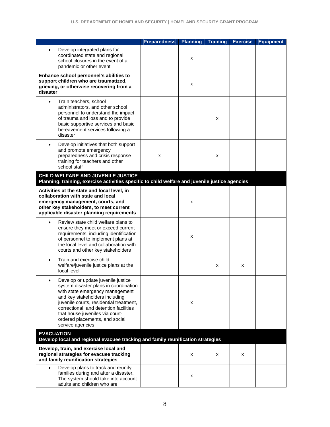|                                                                                                                                                                                                                                                                                                                                | <b>Preparedness</b> | <b>Planning</b> | <b>Training</b> | <b>Exercise</b> | <b>Equipment</b> |
|--------------------------------------------------------------------------------------------------------------------------------------------------------------------------------------------------------------------------------------------------------------------------------------------------------------------------------|---------------------|-----------------|-----------------|-----------------|------------------|
| Develop integrated plans for<br>coordinated state and regional<br>school closures in the event of a<br>pandemic or other event                                                                                                                                                                                                 |                     | x               |                 |                 |                  |
| Enhance school personnel's abilities to<br>support children who are traumatized,<br>grieving, or otherwise recovering from a<br>disaster                                                                                                                                                                                       |                     | x               |                 |                 |                  |
| Train teachers, school<br>$\bullet$<br>administrators, and other school<br>personnel to understand the impact<br>of trauma and loss and to provide<br>basic supportive services and basic<br>bereavement services following a<br>disaster                                                                                      |                     |                 | x               |                 |                  |
| Develop initiatives that both support<br>$\bullet$<br>and promote emergency<br>preparedness and crisis response<br>training for teachers and other<br>school staff                                                                                                                                                             | x                   |                 | x               |                 |                  |
| CHILD WELFARE AND JUVENILE JUSTICE<br>Planning, training, exercise activities specific to child welfare and juvenile justice agencies                                                                                                                                                                                          |                     |                 |                 |                 |                  |
| Activities at the state and local level, in                                                                                                                                                                                                                                                                                    |                     |                 |                 |                 |                  |
| collaboration with state and local<br>emergency management, courts, and<br>other key stakeholders, to meet current<br>applicable disaster planning requirements                                                                                                                                                                |                     | x               |                 |                 |                  |
| Review state child welfare plans to<br>ensure they meet or exceed current<br>requirements, including identification<br>of personnel to implement plans at<br>the local level and collaboration with<br>courts and other key stakeholders                                                                                       |                     | x               |                 |                 |                  |
| Train and exercise child<br>welfare/juvenile justice plans at the<br>local level                                                                                                                                                                                                                                               |                     |                 | x               | x               |                  |
| Develop or update juvenile justice<br>system disaster plans in coordination<br>with state emergency management<br>and key stakeholders including<br>juvenile courts, residential treatment,<br>correctional, and detention facilities<br>that house juveniles via court-<br>ordered placements, and social<br>service agencies |                     | x               |                 |                 |                  |
| <b>EVACUATION</b><br>Develop local and regional evacuee tracking and family reunification strategies                                                                                                                                                                                                                           |                     |                 |                 |                 |                  |
| Develop, train, and exercise local and<br>regional strategies for evacuee tracking<br>and family reunification strategies                                                                                                                                                                                                      |                     | x               | х               | x               |                  |
| Develop plans to track and reunify<br>families during and after a disaster.<br>The system should take into account<br>adults and children who are                                                                                                                                                                              |                     | x               |                 |                 |                  |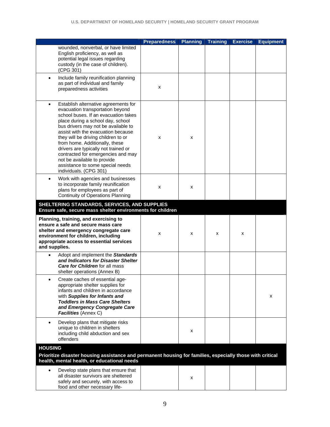|                                                                                                                                                                                                                                                                                                                                                                                                                                                                                                     | <b>Preparedness</b> | <b>Planning</b> | <b>Training</b> | <b>Exercise</b> | <b>Equipment</b> |
|-----------------------------------------------------------------------------------------------------------------------------------------------------------------------------------------------------------------------------------------------------------------------------------------------------------------------------------------------------------------------------------------------------------------------------------------------------------------------------------------------------|---------------------|-----------------|-----------------|-----------------|------------------|
| wounded, nonverbal, or have limited<br>English proficiency, as well as<br>potential legal issues regarding<br>custody (in the case of children).<br>(CPG 301)                                                                                                                                                                                                                                                                                                                                       |                     |                 |                 |                 |                  |
| Include family reunification planning<br>$\bullet$<br>as part of individual and family<br>preparedness activities                                                                                                                                                                                                                                                                                                                                                                                   | x                   |                 |                 |                 |                  |
| Establish alternative agreements for<br>$\bullet$<br>evacuation transportation beyond<br>school buses. If an evacuation takes<br>place during a school day, school<br>bus drivers may not be available to<br>assist with the evacuation because<br>they will be driving children to or<br>from home. Additionally, these<br>drivers are typically not trained or<br>contracted for emergencies and may<br>not be available to provide<br>assistance to some special needs<br>individuals. (CPG 301) | x                   | x               |                 |                 |                  |
| Work with agencies and businesses<br>$\bullet$<br>to incorporate family reunification<br>plans for employees as part of<br><b>Continuity of Operations Planning</b>                                                                                                                                                                                                                                                                                                                                 | x                   | х               |                 |                 |                  |
| SHELTERING STANDARDS, SERVICES, AND SUPPLIES<br>Ensure safe, secure mass shelter environments for children                                                                                                                                                                                                                                                                                                                                                                                          |                     |                 |                 |                 |                  |
| Planning, training, and exercising to<br>ensure a safe and secure mass care<br>shelter and emergency congregate care<br>environment for children, including<br>appropriate access to essential services<br>and supplies.                                                                                                                                                                                                                                                                            | x                   | x               | x               | х               |                  |
| Adopt and implement the Standards<br>and Indicators for Disaster Shelter<br><b>Care for Children</b> for all mass<br>shelter operations (Annex B)                                                                                                                                                                                                                                                                                                                                                   |                     |                 |                 |                 |                  |
| Create caches of essential age-<br>appropriate shelter supplies for<br>infants and children in accordance<br>with Supplies for Infants and<br><b>Toddlers in Mass Care Shelters</b><br>and Emergency Congregate Care<br>Facilities (Annex C)                                                                                                                                                                                                                                                        |                     |                 |                 |                 | x                |
| Develop plans that mitigate risks<br>$\bullet$<br>unique to children in shelters<br>including child abduction and sex<br>offenders                                                                                                                                                                                                                                                                                                                                                                  |                     | x               |                 |                 |                  |
| <b>HOUSING</b><br>Prioritize disaster housing assistance and permanent housing for families, especially those with critical<br>health, mental health, or educational needs                                                                                                                                                                                                                                                                                                                          |                     |                 |                 |                 |                  |
| Develop state plans that ensure that<br>$\bullet$<br>all disaster survivors are sheltered<br>safely and securely, with access to<br>food and other necessary life-                                                                                                                                                                                                                                                                                                                                  |                     | х               |                 |                 |                  |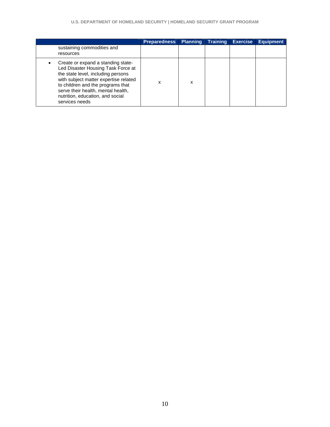|                                                                                                                                                                                                                                                                                          | <b>Preparedness</b> | Planning | <b>Training</b> | <b>Exercise</b> | <b>Equipment</b> |
|------------------------------------------------------------------------------------------------------------------------------------------------------------------------------------------------------------------------------------------------------------------------------------------|---------------------|----------|-----------------|-----------------|------------------|
| sustaining commodities and<br>resources                                                                                                                                                                                                                                                  |                     |          |                 |                 |                  |
| Create or expand a standing state-<br>Led Disaster Housing Task Force at<br>the state level, including persons<br>with subject matter expertise related<br>to children and the programs that<br>serve their health, mental health,<br>nutrition, education, and social<br>services needs | x                   | x        |                 |                 |                  |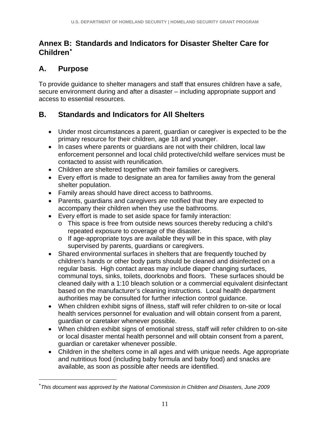### **Annex B: Standards and Indicators for Disaster Shelter Care for Children**

# **A. Purpose**

 $\overline{a}$ 

To provide guidance to shelter managers and staff that ensures children have a safe, secure environment during and after a disaster – including appropriate support and access to essential resources.

# **B. Standards and Indicators for All Shelters**

- Under most circumstances a parent, guardian or caregiver is expected to be the primary resource for their children, age 18 and younger.
- In cases where parents or guardians are not with their children, local law enforcement personnel and local child protective/child welfare services must be contacted to assist with reunification.
- Children are sheltered together with their families or caregivers.
- Every effort is made to designate an area for families away from the general shelter population.
- Family areas should have direct access to bathrooms.
- Parents, guardians and caregivers are notified that they are expected to accompany their children when they use the bathrooms.
- Every effort is made to set aside space for family interaction:
	- o This space is free from outside news sources thereby reducing a child's repeated exposure to coverage of the disaster.
	- o If age-appropriate toys are available they will be in this space, with play supervised by parents, guardians or caregivers.
- Shared environmental surfaces in shelters that are frequently touched by children's hands or other body parts should be cleaned and disinfected on a regular basis. High contact areas may include diaper changing surfaces, communal toys, sinks, toilets, doorknobs and floors. These surfaces should be cleaned daily with a 1:10 bleach solution or a commercial equivalent disinfectant based on the manufacturer's cleaning instructions. Local health department authorities may be consulted for further infection control guidance.
- When children exhibit signs of illness, staff will refer children to on-site or local health services personnel for evaluation and will obtain consent from a parent, guardian or caretaker whenever possible.
- When children exhibit signs of emotional stress, staff will refer children to on-site or local disaster mental health personnel and will obtain consent from a parent, guardian or caretaker whenever possible.
- Children in the shelters come in all ages and with unique needs. Age appropriate and nutritious food (including baby formula and baby food) and snacks are available, as soon as possible after needs are identified.

<span id="page-11-0"></span>*This document was approved by the National Commission in Children and Disasters, June 2009*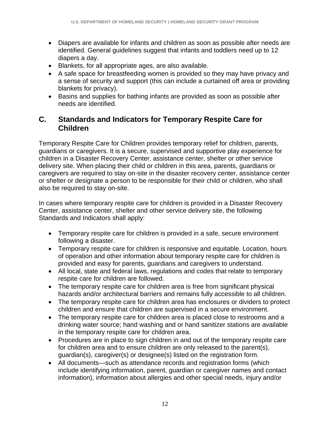- Diapers are available for infants and children as soon as possible after needs are identified. General guidelines suggest that infants and toddlers need up to 12 diapers a day.
- Blankets, for all appropriate ages, are also available.
- A safe space for breastfeeding women is provided so they may have privacy and a sense of security and support (this can include a curtained off area or providing blankets for privacy).
- Basins and supplies for bathing infants are provided as soon as possible after needs are identified.

#### **C. Standards and Indicators for Temporary Respite Care for Children**

Temporary Respite Care for Children provides temporary relief for children, parents, guardians or caregivers. It is a secure, supervised and supportive play experience for children in a Disaster Recovery Center, assistance center, shelter or other service delivery site. When placing their child or children in this area, parents, guardians or caregivers are required to stay on-site in the disaster recovery center, assistance center or shelter or designate a person to be responsible for their child or children, who shall also be required to stay on-site.

In cases where temporary respite care for children is provided in a Disaster Recovery Center, assistance center, shelter and other service delivery site, the following Standards and Indicators shall apply:

- Temporary respite care for children is provided in a safe, secure environment following a disaster.
- Temporary respite care for children is responsive and equitable. Location, hours of operation and other information about temporary respite care for children is provided and easy for parents, guardians and caregivers to understand.
- All local, state and federal laws, regulations and codes that relate to temporary respite care for children are followed.
- The temporary respite care for children area is free from significant physical hazards and/or architectural barriers and remains fully accessible to all children.
- The temporary respite care for children area has enclosures or dividers to protect children and ensure that children are supervised in a secure environment.
- The temporary respite care for children area is placed close to restrooms and a drinking water source; hand washing and or hand sanitizer stations are available in the temporary respite care for children area.
- Procedures are in place to sign children in and out of the temporary respite care for children area and to ensure children are only released to the parent(s), guardian(s), caregiver(s) or designee(s) listed on the registration form.
- All documents---such as attendance records and registration forms (which include identifying information, parent, guardian or caregiver names and contact information), information about allergies and other special needs, injury and/or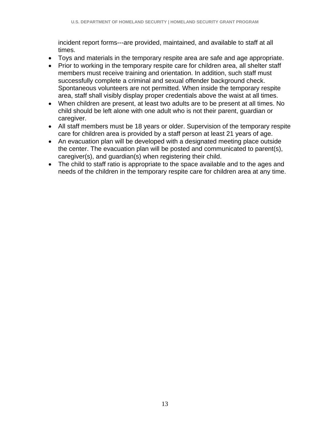incident report forms---are provided, maintained, and available to staff at all times.

- Toys and materials in the temporary respite area are safe and age appropriate.
- Prior to working in the temporary respite care for children area, all shelter staff members must receive training and orientation. In addition, such staff must successfully complete a criminal and sexual offender background check. Spontaneous volunteers are not permitted. When inside the temporary respite area, staff shall visibly display proper credentials above the waist at all times.
- When children are present, at least two adults are to be present at all times. No child should be left alone with one adult who is not their parent, guardian or caregiver.
- All staff members must be 18 years or older. Supervision of the temporary respite care for children area is provided by a staff person at least 21 years of age.
- An evacuation plan will be developed with a designated meeting place outside the center. The evacuation plan will be posted and communicated to parent(s), caregiver(s), and guardian(s) when registering their child.
- The child to staff ratio is appropriate to the space available and to the ages and needs of the children in the temporary respite care for children area at any time.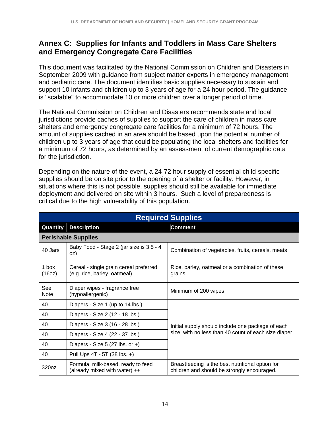#### **Annex C: Supplies for Infants and Toddlers in Mass Care Shelters and Emergency Congregate Care Facilities**

This document was facilitated by the National Commission on Children and Disasters in September 2009 with guidance from subject matter experts in emergency management and pediatric care. The document identifies basic supplies necessary to sustain and support 10 infants and children up to 3 years of age for a 24 hour period. The guidance is "scalable" to accommodate 10 or more children over a longer period of time.

The National Commission on Children and Disasters recommends state and local jurisdictions provide caches of supplies to support the care of children in mass care shelters and emergency congregate care facilities for a minimum of 72 hours. The amount of supplies cached in an area should be based upon the potential number of children up to 3 years of age that could be populating the local shelters and facilities for a minimum of 72 hours, as determined by an assessment of current demographic data for the jurisdiction.

Depending on the nature of the event, a 24-72 hour supply of essential child-specific supplies should be on site prior to the opening of a shelter or facility. However, in situations where this is not possible, supplies should still be available for immediate deployment and delivered on site within 3 hours. Such a level of preparedness is critical due to the high vulnerability of this population.

|                    |                                                                        | <b>Required Supplies</b>                                                                        |
|--------------------|------------------------------------------------------------------------|-------------------------------------------------------------------------------------------------|
| Quantity           | <b>Description</b>                                                     | <b>Comment</b>                                                                                  |
|                    | <b>Perishable Supplies</b>                                             |                                                                                                 |
| 40 Jars            | Baby Food - Stage 2 (jar size is 3.5 - 4<br>oz)                        | Combination of vegetables, fruits, cereals, meats                                               |
| 1 box<br>(16oz)    | Cereal - single grain cereal preferred<br>(e.g. rice, barley, oatmeal) | Rice, barley, oatmeal or a combination of these<br>grains                                       |
| See<br><b>Note</b> | Diaper wipes - fragrance free<br>(hypoallergenic)                      | Minimum of 200 wipes                                                                            |
| 40                 | Diapers - Size 1 (up to 14 lbs.)                                       |                                                                                                 |
| 40                 | Diapers - Size 2 (12 - 18 lbs.)                                        |                                                                                                 |
| 40                 | Diapers - Size 3 (16 - 28 lbs.)                                        | Initial supply should include one package of each                                               |
| 40                 | Diapers - Size 4 (22 - 37 lbs.)                                        | size, with no less than 40 count of each size diaper                                            |
| 40                 | Diapers - Size 5 (27 lbs. or $+$ )                                     |                                                                                                 |
| 40                 | Pull Ups 4T - 5T (38 lbs. +)                                           |                                                                                                 |
| 320oz              | Formula, milk-based, ready to feed<br>(already mixed with water) $++$  | Breastfeeding is the best nutritional option for<br>children and should be strongly encouraged. |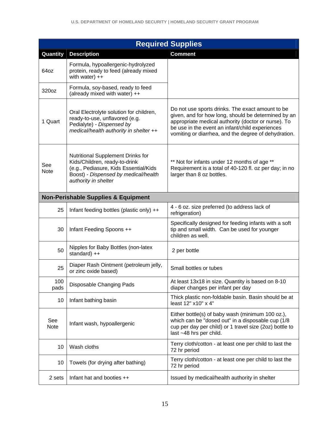|                    |                                                                                                                                                                             | <b>Required Supplies</b>                                                                                                                                                                                                                                                  |
|--------------------|-----------------------------------------------------------------------------------------------------------------------------------------------------------------------------|---------------------------------------------------------------------------------------------------------------------------------------------------------------------------------------------------------------------------------------------------------------------------|
| Quantity           | <b>Description</b>                                                                                                                                                          | <b>Comment</b>                                                                                                                                                                                                                                                            |
| 64oz               | Formula, hypoallergenic-hydrolyzed<br>protein, ready to feed (already mixed<br>with water) $++$                                                                             |                                                                                                                                                                                                                                                                           |
| 320oz              | Formula, soy-based, ready to feed<br>(already mixed with water) ++                                                                                                          |                                                                                                                                                                                                                                                                           |
| 1 Quart            | Oral Electrolyte solution for children,<br>ready-to-use, unflavored (e.g.<br>Pedialyte) - Dispensed by<br>medical/health authority in shelter ++                            | Do not use sports drinks. The exact amount to be<br>given, and for how long, should be determined by an<br>appropriate medical authority (doctor or nurse). To<br>be use in the event an infant/child experiences<br>vomiting or diarrhea, and the degree of dehydration. |
| See<br><b>Note</b> | Nutritional Supplement Drinks for<br>Kids/Children, ready-to-drink<br>(e.g., Pediasure, Kids Essential/Kids<br>Boost) - Dispensed by medical/health<br>authority in shelter | ** Not for infants under 12 months of age **<br>Requirement is a total of 40-120 fl. oz per day; in no<br>larger than 8 oz bottles.                                                                                                                                       |
|                    | <b>Non-Perishable Supplies &amp; Equipment</b>                                                                                                                              |                                                                                                                                                                                                                                                                           |
| 25                 | Infant feeding bottles (plastic only) ++                                                                                                                                    | 4 - 6 oz. size preferred (to address lack of<br>refrigeration)                                                                                                                                                                                                            |
| 30                 | Infant Feeding Spoons ++                                                                                                                                                    | Specifically designed for feeding infants with a soft<br>tip and small width. Can be used for younger<br>children as well.                                                                                                                                                |
| 50                 | Nipples for Baby Bottles (non-latex<br>standard) ++                                                                                                                         | 2 per bottle                                                                                                                                                                                                                                                              |
| 25                 | Diaper Rash Ointment (petroleum jelly,<br>or zinc oxide based)                                                                                                              | Small bottles or tubes                                                                                                                                                                                                                                                    |
| 100<br>pads        | Disposable Changing Pads                                                                                                                                                    | At least 13x18 in size. Quantity is based on 8-10<br>diaper changes per infant per day                                                                                                                                                                                    |
| 10                 | Infant bathing basin                                                                                                                                                        | Thick plastic non-foldable basin. Basin should be at<br>least 12" x10" x 4"                                                                                                                                                                                               |
| See<br>Note        | Infant wash, hypoallergenic                                                                                                                                                 | Either bottle(s) of baby wash (minimum 100 oz.),<br>which can be "dosed out" in a disposable cup (1/8<br>cup per day per child) or 1 travel size (2oz) bottle to<br>last ~48 hrs per child.                                                                               |
| 10                 | Wash cloths                                                                                                                                                                 | Terry cloth/cotton - at least one per child to last the<br>72 hr period                                                                                                                                                                                                   |
| 10                 | Towels (for drying after bathing)                                                                                                                                           | Terry cloth/cotton - at least one per child to last the<br>72 hr period                                                                                                                                                                                                   |
| 2 sets             | Infant hat and booties ++                                                                                                                                                   | Issued by medical/health authority in shelter                                                                                                                                                                                                                             |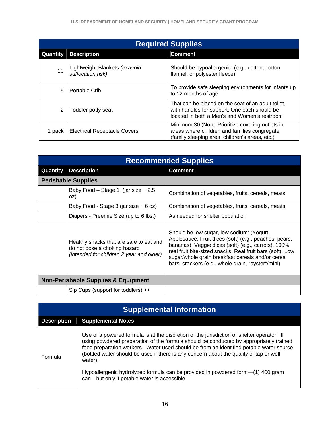|          | <b>Required Supplies</b>                            |                                                                                                                                                    |  |  |  |  |
|----------|-----------------------------------------------------|----------------------------------------------------------------------------------------------------------------------------------------------------|--|--|--|--|
| Quantity | <b>Description</b>                                  | <b>Comment</b>                                                                                                                                     |  |  |  |  |
| 10       | Lightweight Blankets (to avoid<br>suffocation risk) | Should be hypoallergenic, (e.g., cotton, cotton<br>flannel, or polyester fleece)                                                                   |  |  |  |  |
| 5        | Portable Crib                                       | To provide safe sleeping environments for infants up<br>to 12 months of age                                                                        |  |  |  |  |
| 2        | Toddler potty seat                                  | That can be placed on the seat of an adult toilet,<br>with handles for support. One each should be<br>located in both a Men's and Women's restroom |  |  |  |  |
| 1 pack   | <b>Electrical Receptacle Covers</b>                 | Minimum 30 (Note: Prioritize covering outlets in<br>areas where children and families congregate<br>(family sleeping area, children's areas, etc.) |  |  |  |  |

|          |                                                                                                                     | <b>Recommended Supplies</b>                                                                                                                                                                                                                                                                                                      |
|----------|---------------------------------------------------------------------------------------------------------------------|----------------------------------------------------------------------------------------------------------------------------------------------------------------------------------------------------------------------------------------------------------------------------------------------------------------------------------|
| Quantity | <b>Description</b>                                                                                                  | <b>Comment</b>                                                                                                                                                                                                                                                                                                                   |
|          | <b>Perishable Supplies</b>                                                                                          |                                                                                                                                                                                                                                                                                                                                  |
|          | Baby Food – Stage 1 (jar size $\sim 2.5$<br>oz)                                                                     | Combination of vegetables, fruits, cereals, meats                                                                                                                                                                                                                                                                                |
|          | Baby Food - Stage 3 (jar size $\sim$ 6 oz)                                                                          | Combination of vegetables, fruits, cereals, meats                                                                                                                                                                                                                                                                                |
|          | Diapers - Preemie Size (up to 6 lbs.)                                                                               | As needed for shelter population                                                                                                                                                                                                                                                                                                 |
|          | Healthy snacks that are safe to eat and<br>do not pose a choking hazard<br>(intended for children 2 year and older) | Should be low sugar, low sodium: (Yogurt,<br>Applesauce, Fruit dices (soft) (e.g., peaches, pears,<br>bananas), Veggie dices (soft) (e.g., carrots), 100%<br>real fruit bite-sized snacks, Real fruit bars (soft), Low<br>sugar/whole grain breakfast cereals and/or cereal<br>bars, crackers (e.g., whole grain, "oyster"/mini) |
|          | <b>Non-Perishable Supplies &amp; Equipment</b>                                                                      |                                                                                                                                                                                                                                                                                                                                  |
|          | Sip Cups (support for toddlers) ++                                                                                  |                                                                                                                                                                                                                                                                                                                                  |

|                    | <b>Supplemental Information</b>                                                                                                                                                                                                                                                                                                                                                                                                                                                                                       |  |  |  |  |
|--------------------|-----------------------------------------------------------------------------------------------------------------------------------------------------------------------------------------------------------------------------------------------------------------------------------------------------------------------------------------------------------------------------------------------------------------------------------------------------------------------------------------------------------------------|--|--|--|--|
| <b>Description</b> | <b>Supplemental Notes</b>                                                                                                                                                                                                                                                                                                                                                                                                                                                                                             |  |  |  |  |
| Formula            | Use of a powered formula is at the discretion of the jurisdiction or shelter operator. If<br>using powdered preparation of the formula should be conducted by appropriately trained<br>food preparation workers. Water used should be from an identified potable water source<br>(bottled water should be used if there is any concern about the quality of tap or well<br>water).<br>Hypoallergenic hydrolyzed formula can be provided in powdered form-(1) 400 gram<br>can-but only if potable water is accessible. |  |  |  |  |